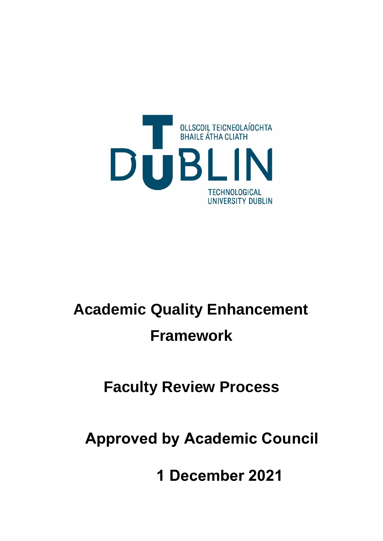

# **Academic Quality Enhancement Framework**

# **Faculty Review Process**

**Approved by Academic Council** 

**1 December 2021**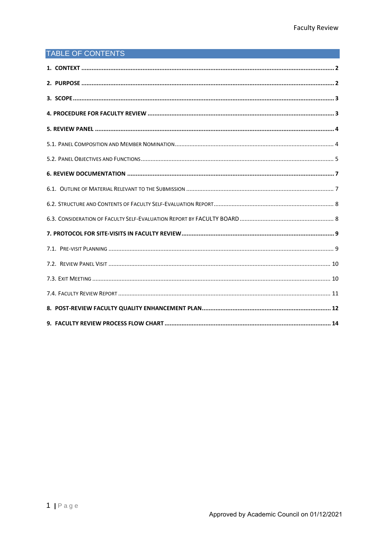## TABLE OF CONTENTS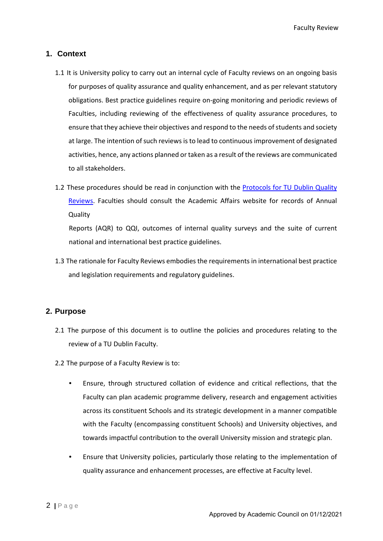#### <span id="page-2-0"></span>**1. Context**

- 1.1 It is University policy to carry out an internal cycle of Faculty reviews on an ongoing basis for purposes of quality assurance and quality enhancement, and as per relevant statutory obligations. Best practice guidelines require on-going monitoring and periodic reviews of Faculties, including reviewing of the effectiveness of quality assurance procedures, to ensure that they achieve their objectives and respond to the needs of students and society at large. The intention of such reviews is to lead to continuous improvement of designated activities, hence, any actions planned or taken as a result of the reviews are communicated to all stakeholders.
- 1.2 These procedures should be read in conjunction with the Protocols for TU Dublin Quality Reviews. Faculties should consult the Academic Affairs website for records of Annual Quality

Reports (AQR) to QQI, outcomes of internal quality surveys and the suite of current national and international best practice guidelines.

1.3 The rationale for Faculty Reviews embodies the requirements in international best practice and legislation requirements and regulatory guidelines.

#### <span id="page-2-1"></span>**2. Purpose**

- 2.1 The purpose of this document is to outline the policies and procedures relating to the review of a TU Dublin Faculty.
- 2.2 The purpose of a Faculty Review is to:
	- Ensure, through structured collation of evidence and critical reflections, that the Faculty can plan academic programme delivery, research and engagement activities across its constituent Schools and its strategic development in a manner compatible with the Faculty (encompassing constituent Schools) and University objectives, and towards impactful contribution to the overall University mission and strategic plan.
	- Ensure that University policies, particularly those relating to the implementation of quality assurance and enhancement processes, are effective at Faculty level.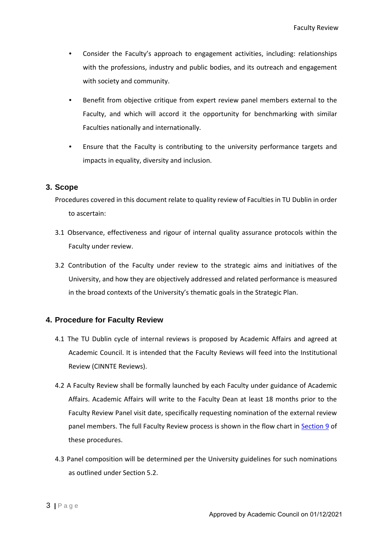- Consider the Faculty's approach to engagement activities, including: relationships with the professions, industry and public bodies, and its outreach and engagement with society and community.
- Benefit from objective critique from expert review panel members external to the Faculty, and which will accord it the opportunity for benchmarking with similar Faculties nationally and internationally.
- Ensure that the Faculty is contributing to the university performance targets and impacts in equality, diversity and inclusion.

#### <span id="page-3-0"></span>**3. Scope**

Procedures covered in this document relate to quality review of Faculties in TU Dublin in order to ascertain:

- 3.1 Observance, effectiveness and rigour of internal quality assurance protocols within the Faculty under review.
- 3.2 Contribution of the Faculty under review to the strategic aims and initiatives of the University, and how they are objectively addressed and related performance is measured in the broad contexts of the University's thematic goals in the Strategic Plan.

#### <span id="page-3-1"></span>**4. Procedure for Faculty Review**

- 4.1 The TU Dublin cycle of internal reviews is proposed by Academic Affairs and agreed at Academic Council. It is intended that the Faculty Reviews will feed into the Institutional Review (CINNTE Reviews).
- 4.2 A Faculty Review shall be formally launched by each Faculty under guidance of Academic Affairs. Academic Affairs will write to the Faculty Dean at least 18 months prior to the Faculty Review Panel visit date, specifically requesting nomination of the external review panel members. The full Faculty Review process is shown in the flow chart in Section 9 of these procedures.
- 4.3 Panel composition will be determined per the University guidelines for such nominations as outlined under Section 5.2.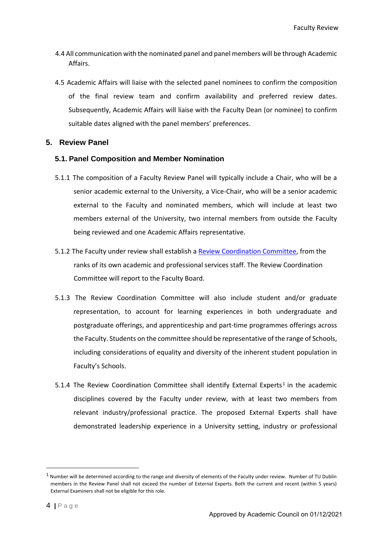- 4.4 All communication with the nominated panel and panel members will be through Academic Affairs.
- 4.5 Academic Affairs will liaise with the selected panel nominees to confirm the composition of the final review team and confirm availability and preferred review dates. Subsequently, Academic Affairs will liaise with the Faculty Dean (or nominee) to confirm suitable dates aligned with the panel members' preferences.

#### <span id="page-4-0"></span>**5. Review Panel**

#### <span id="page-4-1"></span>**5.1. Panel Composition and Member Nomination**

- 5.1.1 The composition of a Faculty Review Panel will typically include a Chair, who will be a senior academic external to the University, a Vice-Chair, who will be a senior academic external to the Faculty and nominated members, which will include at least two members external of the University, two internal members from outside the Faculty being reviewed and one Academic Affairs representative.
- 5.1.2 The Faculty under review shall establish a Review Coordination Committee, from the ranks of its own academic and professional services staff. The Review Coordination Committee will report to the Faculty Board.
- 5.1.3 The Review Coordination Committee will also include student and/or graduate representation, to account for learning experiences in both undergraduate and postgraduate offerings, and apprenticeship and part-time programmes offerings across the Faculty. Students on the committee should be representative of the range of Schools, including considerations of equality and diversity of the inherent student population in Faculty's Schools.
- 5.[1](#page-4-2).4 The Review Coordination Committee shall identify External Experts<sup>1</sup> in the academic disciplines covered by the Faculty under review, with at least two members from relevant industry/professional practice. The proposed External Experts shall have demonstrated leadership experience in a University setting, industry or professional

<span id="page-4-2"></span><sup>&</sup>lt;sup>1</sup> Number will be determined according to the range and diversity of elements of the Faculty under review. Number of TU Dublin members in the Review Panel shall not exceed the number of External Experts. Both the current and recent (within 5 years) External Examiners shall not be eligible for this role.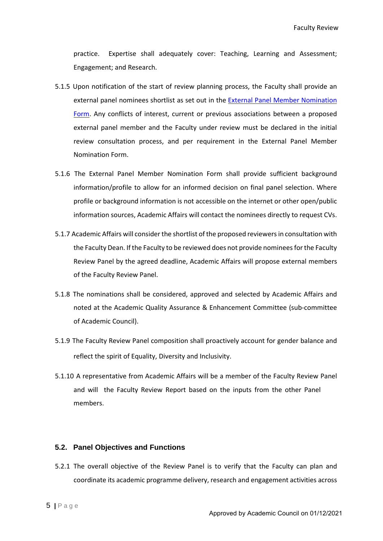practice. Expertise shall adequately cover: Teaching, Learning and Assessment; Engagement; and Research.

- 5.1.5 Upon notification of the start of review planning process, the Faculty shall provide an external panel nominees shortlist as set out in the External Panel Member Nomination Form. Any conflicts of interest, current or previous associations between a proposed external panel member and the Faculty under review must be declared in the initial review consultation process, and per requirement in the External Panel Member Nomination Form.
- 5.1.6 The External Panel Member Nomination Form shall provide sufficient background information/profile to allow for an informed decision on final panel selection. Where profile or background information is not accessible on the internet or other open/public information sources, Academic Affairs will contact the nominees directly to request CVs.
- 5.1.7 Academic Affairs will consider the shortlist of the proposed reviewers in consultation with the Faculty Dean. If the Faculty to be reviewed does not provide nominees for the Faculty Review Panel by the agreed deadline, Academic Affairs will propose external members of the Faculty Review Panel.
- 5.1.8 The nominations shall be considered, approved and selected by Academic Affairs and noted at the Academic Quality Assurance & Enhancement Committee (sub-committee of Academic Council).
- 5.1.9 The Faculty Review Panel composition shall proactively account for gender balance and reflect the spirit of Equality, Diversity and Inclusivity.
- 5.1.10 A representative from Academic Affairs will be a member of the Faculty Review Panel and will the Faculty Review Report based on the inputs from the other Panel members.

#### <span id="page-5-0"></span>**5.2. Panel Objectives and Functions**

5.2.1 The overall objective of the Review Panel is to verify that the Faculty can plan and coordinate its academic programme delivery, research and engagement activities across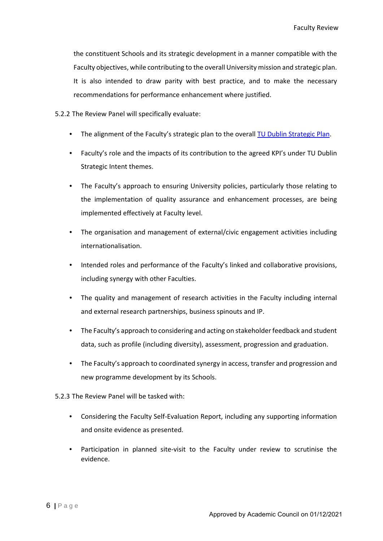the constituent Schools and its strategic development in a manner compatible with the Faculty objectives, while contributing to the overall University mission and strategic plan. It is also intended to draw parity with best practice, and to make the necessary recommendations for performance enhancement where justified.

5.2.2 The Review Panel will specifically evaluate:

- The alignment of the Faculty's strategic plan to the overall TU Dublin Strategic Plan.
- Faculty's role and the impacts of its contribution to the agreed KPI's under TU Dublin Strategic Intent themes.
- The Faculty's approach to ensuring University policies, particularly those relating to the implementation of quality assurance and enhancement processes, are being implemented effectively at Faculty level.
- The organisation and management of external/civic engagement activities including internationalisation.
- Intended roles and performance of the Faculty's linked and collaborative provisions, including synergy with other Faculties.
- The quality and management of research activities in the Faculty including internal and external research partnerships, business spinouts and IP.
- The Faculty's approach to considering and acting on stakeholder feedback and student data, such as profile (including diversity), assessment, progression and graduation.
- The Faculty's approach to coordinated synergy in access, transfer and progression and new programme development by its Schools.
- 5.2.3 The Review Panel will be tasked with:
	- Considering the Faculty Self-Evaluation Report, including any supporting information and onsite evidence as presented.
	- Participation in planned site-visit to the Faculty under review to scrutinise the evidence.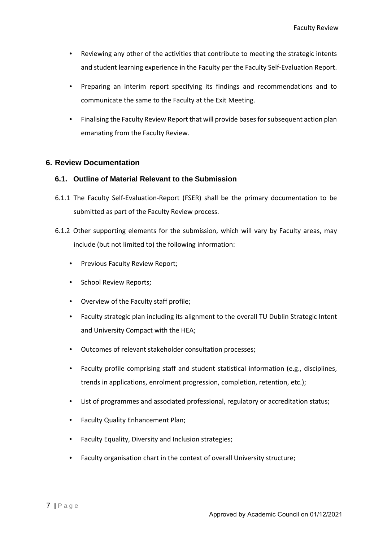- Reviewing any other of the activities that contribute to meeting the strategic intents and student learning experience in the Faculty per the Faculty Self-Evaluation Report.
- Preparing an interim report specifying its findings and recommendations and to communicate the same to the Faculty at the Exit Meeting.
- Finalising the Faculty Review Report that will provide bases for subsequent action plan emanating from the Faculty Review.

#### <span id="page-7-0"></span>**6. Review Documentation**

#### <span id="page-7-1"></span>**6.1. Outline of Material Relevant to the Submission**

- 6.1.1 The Faculty Self-Evaluation-Report (FSER) shall be the primary documentation to be submitted as part of the Faculty Review process.
- 6.1.2 Other supporting elements for the submission, which will vary by Faculty areas, may include (but not limited to) the following information:
	- Previous Faculty Review Report;
	- School Review Reports;
	- Overview of the Faculty staff profile;
	- Faculty strategic plan including its alignment to the overall TU Dublin Strategic Intent and University Compact with the HEA;
	- Outcomes of relevant stakeholder consultation processes;
	- Faculty profile comprising staff and student statistical information (e.g., disciplines, trends in applications, enrolment progression, completion, retention, etc.);
	- List of programmes and associated professional, regulatory or accreditation status;
	- Faculty Quality Enhancement Plan;
	- Faculty Equality, Diversity and Inclusion strategies;
	- Faculty organisation chart in the context of overall University structure;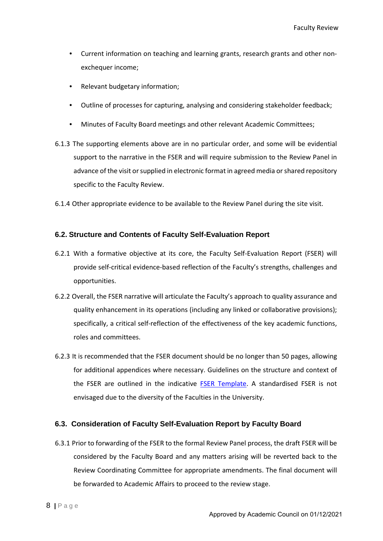- Current information on teaching and learning grants, research grants and other nonexchequer income;
- Relevant budgetary information;
- Outline of processes for capturing, analysing and considering stakeholder feedback;
- Minutes of Faculty Board meetings and other relevant Academic Committees;
- 6.1.3 The supporting elements above are in no particular order, and some will be evidential support to the narrative in the FSER and will require submission to the Review Panel in advance of the visit or supplied in electronic format in agreed media or shared repository specific to the Faculty Review.
- 6.1.4 Other appropriate evidence to be available to the Review Panel during the site visit.

#### <span id="page-8-0"></span>**6.2. Structure and Contents of Faculty Self-Evaluation Report**

- 6.2.1 With a formative objective at its core, the Faculty Self-Evaluation Report (FSER) will provide self-critical evidence-based reflection of the Faculty's strengths, challenges and opportunities.
- 6.2.2 Overall, the FSER narrative will articulate the Faculty's approach to quality assurance and quality enhancement in its operations (including any linked or collaborative provisions); specifically, a critical self-reflection of the effectiveness of the key academic functions, roles and committees.
- 6.2.3 It is recommended that the FSER document should be no longer than 50 pages, allowing for additional appendices where necessary. Guidelines on the structure and context of the FSER are outlined in the indicative FSER Template. A standardised FSER is not envisaged due to the diversity of the Faculties in the University.

#### <span id="page-8-1"></span>**6.3. Consideration of Faculty Self-Evaluation Report by Faculty Board**

6.3.1 Prior to forwarding of the FSER to the formal Review Panel process, the draft FSER will be considered by the Faculty Board and any matters arising will be reverted back to the Review Coordinating Committee for appropriate amendments. The final document will be forwarded to Academic Affairs to proceed to the review stage.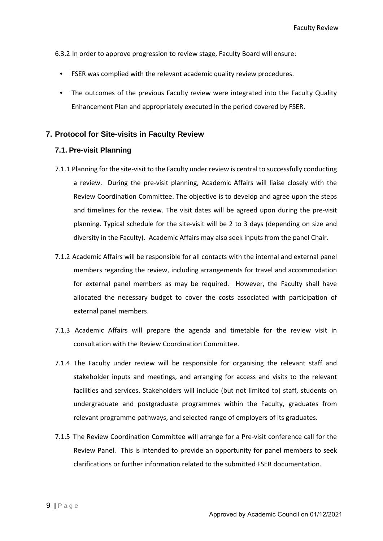- 6.3.2 In order to approve progression to review stage, Faculty Board will ensure:
	- FSER was complied with the relevant academic quality review procedures.
	- The outcomes of the previous Faculty review were integrated into the Faculty Quality Enhancement Plan and appropriately executed in the period covered by FSER.

#### <span id="page-9-0"></span>**7. Protocol for Site-visits in Faculty Review**

#### <span id="page-9-1"></span>**7.1. Pre-visit Planning**

- 7.1.1 Planning for the site-visit to the Faculty under review is central to successfully conducting a review. During the pre-visit planning, Academic Affairs will liaise closely with the Review Coordination Committee. The objective is to develop and agree upon the steps and timelines for the review. The visit dates will be agreed upon during the pre-visit planning. Typical schedule for the site-visit will be 2 to 3 days (depending on size and diversity in the Faculty). Academic Affairs may also seek inputs from the panel Chair.
- 7.1.2 Academic Affairs will be responsible for all contacts with the internal and external panel members regarding the review, including arrangements for travel and accommodation for external panel members as may be required. However, the Faculty shall have allocated the necessary budget to cover the costs associated with participation of external panel members.
- 7.1.3 Academic Affairs will prepare the agenda and timetable for the review visit in consultation with the Review Coordination Committee.
- 7.1.4 The Faculty under review will be responsible for organising the relevant staff and stakeholder inputs and meetings, and arranging for access and visits to the relevant facilities and services. Stakeholders will include (but not limited to) staff, students on undergraduate and postgraduate programmes within the Faculty, graduates from relevant programme pathways, and selected range of employers of its graduates.
- 7.1.5 The Review Coordination Committee will arrange for a Pre-visit conference call for the Review Panel. This is intended to provide an opportunity for panel members to seek clarifications or further information related to the submitted FSER documentation.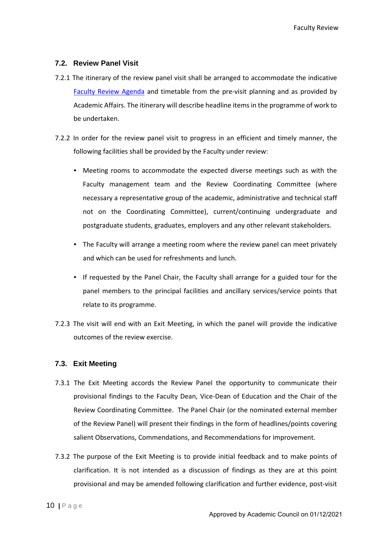#### <span id="page-10-0"></span>**7.2. Review Panel Visit**

- 7.2.1 The itinerary of the review panel visit shall be arranged to accommodate the indicative Faculty Review Agenda and timetable from the pre-visit planning and as provided by Academic Affairs. The itinerary will describe headline items in the programme of work to be undertaken.
- 7.2.2 In order for the review panel visit to progress in an efficient and timely manner, the following facilities shall be provided by the Faculty under review:
	- Meeting rooms to accommodate the expected diverse meetings such as with the Faculty management team and the Review Coordinating Committee (where necessary a representative group of the academic, administrative and technical staff not on the Coordinating Committee), current/continuing undergraduate and postgraduate students, graduates, employers and any other relevant stakeholders.
	- The Faculty will arrange a meeting room where the review panel can meet privately and which can be used for refreshments and lunch.
	- If requested by the Panel Chair, the Faculty shall arrange for a guided tour for the panel members to the principal facilities and ancillary services/service points that relate to its programme.
- 7.2.3 The visit will end with an Exit Meeting, in which the panel will provide the indicative outcomes of the review exercise.

#### <span id="page-10-1"></span>**7.3. Exit Meeting**

- 7.3.1 The Exit Meeting accords the Review Panel the opportunity to communicate their provisional findings to the Faculty Dean, Vice-Dean of Education and the Chair of the Review Coordinating Committee. The Panel Chair (or the nominated external member of the Review Panel) will present their findings in the form of headlines/points covering salient Observations, Commendations, and Recommendations for improvement.
- 7.3.2 The purpose of the Exit Meeting is to provide initial feedback and to make points of clarification. It is not intended as a discussion of findings as they are at this point provisional and may be amended following clarification and further evidence, post-visit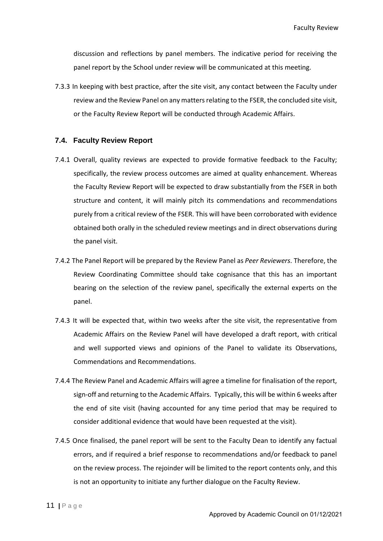Faculty Review

discussion and reflections by panel members. The indicative period for receiving the panel report by the School under review will be communicated at this meeting.

7.3.3 In keeping with best practice, after the site visit, any contact between the Faculty under review and the Review Panel on any matters relating to the FSER, the concluded site visit, or the Faculty Review Report will be conducted through Academic Affairs.

#### <span id="page-11-0"></span>**7.4. Faculty Review Report**

- 7.4.1 Overall, quality reviews are expected to provide formative feedback to the Faculty; specifically, the review process outcomes are aimed at quality enhancement. Whereas the Faculty Review Report will be expected to draw substantially from the FSER in both structure and content, it will mainly pitch its commendations and recommendations purely from a critical review of the FSER. This will have been corroborated with evidence obtained both orally in the scheduled review meetings and in direct observations during the panel visit.
- 7.4.2 The Panel Report will be prepared by the Review Panel as *Peer Reviewers*. Therefore, the Review Coordinating Committee should take cognisance that this has an important bearing on the selection of the review panel, specifically the external experts on the panel.
- 7.4.3 It will be expected that, within two weeks after the site visit, the representative from Academic Affairs on the Review Panel will have developed a draft report, with critical and well supported views and opinions of the Panel to validate its Observations, Commendations and Recommendations.
- 7.4.4 The Review Panel and Academic Affairs will agree a timeline for finalisation of the report, sign-off and returning to the Academic Affairs. Typically, this will be within 6 weeks after the end of site visit (having accounted for any time period that may be required to consider additional evidence that would have been requested at the visit).
- 7.4.5 Once finalised, the panel report will be sent to the Faculty Dean to identify any factual errors, and if required a brief response to recommendations and/or feedback to panel on the review process. The rejoinder will be limited to the report contents only, and this is not an opportunity to initiate any further dialogue on the Faculty Review.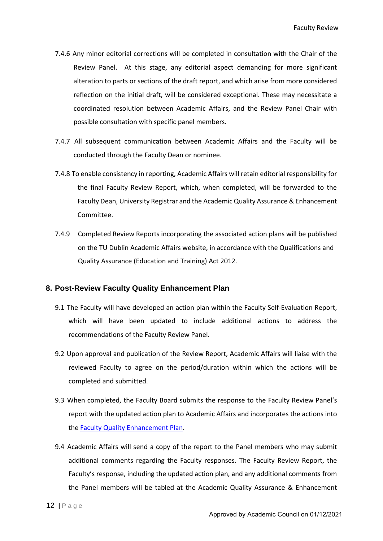- 7.4.6 Any minor editorial corrections will be completed in consultation with the Chair of the Review Panel. At this stage, any editorial aspect demanding for more significant alteration to parts or sections of the draft report, and which arise from more considered reflection on the initial draft, will be considered exceptional. These may necessitate a coordinated resolution between Academic Affairs, and the Review Panel Chair with possible consultation with specific panel members.
- 7.4.7 All subsequent communication between Academic Affairs and the Faculty will be conducted through the Faculty Dean or nominee.
- 7.4.8 To enable consistency in reporting, Academic Affairs will retain editorial responsibility for the final Faculty Review Report, which, when completed, will be forwarded to the Faculty Dean, University Registrar and the Academic Quality Assurance & Enhancement Committee.
- 7.4.9 Completed Review Reports incorporating the associated action plans will be published on the TU Dublin Academic Affairs website, in accordance with the Qualifications and Quality Assurance (Education and Training) Act 2012.

#### <span id="page-12-0"></span>**8. Post-Review Faculty Quality Enhancement Plan**

- 9.1 The Faculty will have developed an action plan within the Faculty Self-Evaluation Report, which will have been updated to include additional actions to address the recommendations of the Faculty Review Panel.
- 9.2 Upon approval and publication of the Review Report, Academic Affairs will liaise with the reviewed Faculty to agree on the period/duration within which the actions will be completed and submitted.
- 9.3 When completed, the Faculty Board submits the response to the Faculty Review Panel's report with the updated action plan to Academic Affairs and incorporates the actions into the Faculty Quality Enhancement Plan.
- 9.4 Academic Affairs will send a copy of the report to the Panel members who may submit additional comments regarding the Faculty responses. The Faculty Review Report, the Faculty's response, including the updated action plan, and any additional comments from the Panel members will be tabled at the Academic Quality Assurance & Enhancement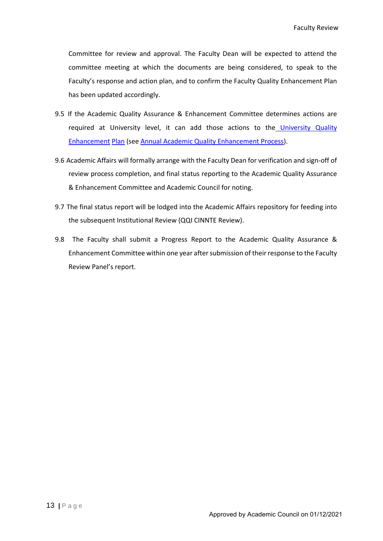Committee for review and approval. The Faculty Dean will be expected to attend the committee meeting at which the documents are being considered, to speak to the Faculty's response and action plan, and to confirm the Faculty Quality Enhancement Plan has been updated accordingly.

- 9.5 If the Academic Quality Assurance & Enhancement Committee determines actions are required at University level, it can add those actions to the University Quality Enhancement Plan (see Annual Academic Quality Enhancement Process).
- 9.6 Academic Affairs will formally arrange with the Faculty Dean for verification and sign-off of review process completion, and final status reporting to the Academic Quality Assurance & Enhancement Committee and Academic Council for noting.
- 9.7 The final status report will be lodged into the Academic Affairs repository for feeding into the subsequent Institutional Review (QQI CINNTE Review).
- 9.8 The Faculty shall submit a Progress Report to the Academic Quality Assurance & Enhancement Committee within one year after submission of their response to the Faculty Review Panel's report.